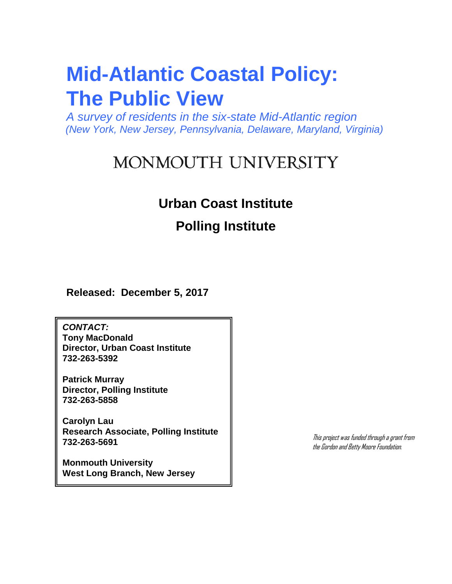*A survey of residents in the six-state Mid-Atlantic region (New York, New Jersey, Pennsylvania, Delaware, Maryland, Virginia)*

# MONMOUTH UNIVERSITY

# **Urban Coast Institute**

# **Polling Institute**

**Released: December 5, 2017**

*CONTACT:* **Tony MacDonald Director, Urban Coast Institute 732-263-5392**

**Patrick Murray Director, Polling Institute 732-263-5858**

**Carolyn Lau Research Associate, Polling Institute 732-263-5691**

**Monmouth University West Long Branch, New Jersey** This project was funded through a grant from the Gordon and Betty Moore Foundation.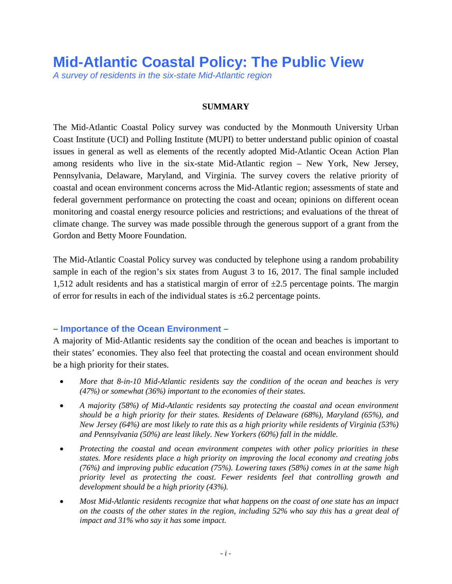*A survey of residents in the six-state Mid-Atlantic region*

#### **SUMMARY**

The Mid-Atlantic Coastal Policy survey was conducted by the Monmouth University Urban Coast Institute (UCI) and Polling Institute (MUPI) to better understand public opinion of coastal issues in general as well as elements of the recently adopted Mid-Atlantic Ocean Action Plan among residents who live in the six-state Mid-Atlantic region – New York, New Jersey, Pennsylvania, Delaware, Maryland, and Virginia. The survey covers the relative priority of coastal and ocean environment concerns across the Mid-Atlantic region; assessments of state and federal government performance on protecting the coast and ocean; opinions on different ocean monitoring and coastal energy resource policies and restrictions; and evaluations of the threat of climate change. The survey was made possible through the generous support of a grant from the Gordon and Betty Moore Foundation.

The Mid-Atlantic Coastal Policy survey was conducted by telephone using a random probability sample in each of the region's six states from August 3 to 16, 2017. The final sample included 1,512 adult residents and has a statistical margin of error of  $\pm 2.5$  percentage points. The margin of error for results in each of the individual states is  $\pm 6.2$  percentage points.

### **– Importance of the Ocean Environment –**

A majority of Mid-Atlantic residents say the condition of the ocean and beaches is important to their states' economies. They also feel that protecting the coastal and ocean environment should be a high priority for their states.

- *More that 8-in-10 Mid-Atlantic residents say the condition of the ocean and beaches is very (47%) or somewhat (36%) important to the economies of their states.*
- *A majority (58%) of Mid-Atlantic residents say protecting the coastal and ocean environment should be a high priority for their states. Residents of Delaware (68%), Maryland (65%), and New Jersey (64%) are most likely to rate this as a high priority while residents of Virginia (53%) and Pennsylvania (50%) are least likely. New Yorkers (60%) fall in the middle.*
- *Protecting the coastal and ocean environment competes with other policy priorities in these states. More residents place a high priority on improving the local economy and creating jobs (76%) and improving public education (75%). Lowering taxes (58%) comes in at the same high priority level as protecting the coast. Fewer residents feel that controlling growth and development should be a high priority (43%).*
- *Most Mid-Atlantic residents recognize that what happens on the coast of one state has an impact on the coasts of the other states in the region, including 52% who say this has a great deal of impact and 31% who say it has some impact.*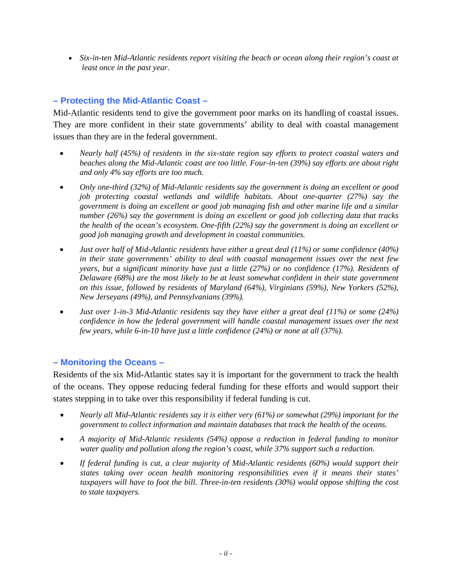• *Six-in-ten Mid-Atlantic residents report visiting the beach or ocean along their region's coast at least once in the past year.*

# **– Protecting the Mid-Atlantic Coast –**

Mid-Atlantic residents tend to give the government poor marks on its handling of coastal issues. They are more confident in their state governments' ability to deal with coastal management issues than they are in the federal government.

- *Nearly half (45%) of residents in the six-state region say efforts to protect coastal waters and beaches along the Mid-Atlantic coast are too little. Four-in-ten (39%) say efforts are about right and only 4% say efforts are too much.*
- *Only one-third (32%) of Mid-Atlantic residents say the government is doing an excellent or good job protecting coastal wetlands and wildlife habitats. About one-quarter (27%) say the government is doing an excellent or good job managing fish and other marine life and a similar number (26%) say the government is doing an excellent or good job collecting data that tracks the health of the ocean's ecosystem. One-fifth (22%) say the government is doing an excellent or good job managing growth and development in coastal communities.*
- *Just over half of Mid-Atlantic residents have either a great deal (11%) or some confidence (40%) in their state governments' ability to deal with coastal management issues over the next few years, but a significant minority have just a little (27%) or no confidence (17%). Residents of Delaware (68%) are the most likely to be at least somewhat confident in their state government on this issue, followed by residents of Maryland (64%), Virginians (59%), New Yorkers (52%), New Jerseyans (49%), and Pennsylvanians (39%).*
- *Just over 1-in-3 Mid-Atlantic residents say they have either a great deal (11%) or some (24%) confidence in how the federal government will handle coastal management issues over the next few years, while 6-in-10 have just a little confidence (24%) or none at all (37%).*

### **– Monitoring the Oceans –**

Residents of the six Mid-Atlantic states say it is important for the government to track the health of the oceans. They oppose reducing federal funding for these efforts and would support their states stepping in to take over this responsibility if federal funding is cut.

- *Nearly all Mid-Atlantic residents say it is either very (61%) or somewhat (29%) important for the government to collect information and maintain databases that track the health of the oceans.*
- *A majority of Mid-Atlantic residents (54%) oppose a reduction in federal funding to monitor water quality and pollution along the region's coast, while 37% support such a reduction.*
- *If federal funding is cut, a clear majority of Mid-Atlantic residents (60%) would support their states taking over ocean health monitoring responsibilities even if it means their states' taxpayers will have to foot the bill. Three-in-ten residents (30%) would oppose shifting the cost to state taxpayers.*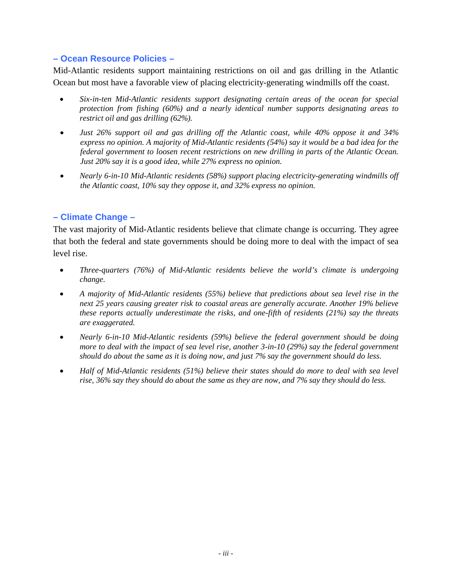### **– Ocean Resource Policies –**

Mid-Atlantic residents support maintaining restrictions on oil and gas drilling in the Atlantic Ocean but most have a favorable view of placing electricity-generating windmills off the coast.

- *Six-in-ten Mid-Atlantic residents support designating certain areas of the ocean for special protection from fishing (60%) and a nearly identical number supports designating areas to restrict oil and gas drilling (62%).*
- *Just 26% support oil and gas drilling off the Atlantic coast, while 40% oppose it and 34% express no opinion. A majority of Mid-Atlantic residents (54%) say it would be a bad idea for the federal government to loosen recent restrictions on new drilling in parts of the Atlantic Ocean. Just 20% say it is a good idea, while 27% express no opinion.*
- *Nearly 6-in-10 Mid-Atlantic residents (58%) support placing electricity-generating windmills off the Atlantic coast, 10% say they oppose it, and 32% express no opinion.*

# **– Climate Change –**

The vast majority of Mid-Atlantic residents believe that climate change is occurring. They agree that both the federal and state governments should be doing more to deal with the impact of sea level rise.

- *Three-quarters (76%) of Mid-Atlantic residents believe the world's climate is undergoing change.*
- *A majority of Mid-Atlantic residents (55%) believe that predictions about sea level rise in the next 25 years causing greater risk to coastal areas are generally accurate. Another 19% believe these reports actually underestimate the risks, and one-fifth of residents (21%) say the threats are exaggerated.*
- *Nearly 6-in-10 Mid-Atlantic residents (59%) believe the federal government should be doing more to deal with the impact of sea level rise, another 3-in-10 (29%) say the federal government should do about the same as it is doing now, and just 7% say the government should do less.*
- *Half of Mid-Atlantic residents (51%) believe their states should do more to deal with sea level rise, 36% say they should do about the same as they are now, and 7% say they should do less.*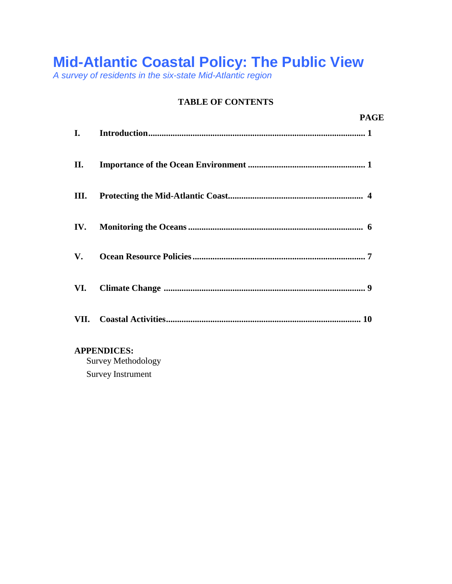*A survey of residents in the six-state Mid-Atlantic region*

# **TABLE OF CONTENTS**

|      | <b>PAGE</b>        |
|------|--------------------|
| I.   |                    |
| П.   |                    |
| Ш.   |                    |
| IV.  |                    |
| V.   |                    |
| VI.  |                    |
| VII. |                    |
|      | <b>APPENDICES:</b> |

Survey Methodology Survey Instrument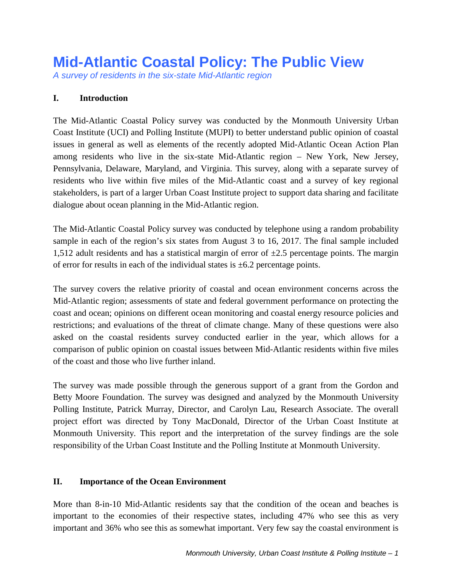*A survey of residents in the six-state Mid-Atlantic region*

# **I. Introduction**

The Mid-Atlantic Coastal Policy survey was conducted by the Monmouth University Urban Coast Institute (UCI) and Polling Institute (MUPI) to better understand public opinion of coastal issues in general as well as elements of the recently adopted Mid-Atlantic Ocean Action Plan among residents who live in the six-state Mid-Atlantic region – New York, New Jersey, Pennsylvania, Delaware, Maryland, and Virginia. This survey, along with a separate survey of residents who live within five miles of the Mid-Atlantic coast and a survey of key regional stakeholders, is part of a larger Urban Coast Institute project to support data sharing and facilitate dialogue about ocean planning in the Mid-Atlantic region.

The Mid-Atlantic Coastal Policy survey was conducted by telephone using a random probability sample in each of the region's six states from August 3 to 16, 2017. The final sample included 1,512 adult residents and has a statistical margin of error of  $\pm 2.5$  percentage points. The margin of error for results in each of the individual states is  $\pm 6.2$  percentage points.

The survey covers the relative priority of coastal and ocean environment concerns across the Mid-Atlantic region; assessments of state and federal government performance on protecting the coast and ocean; opinions on different ocean monitoring and coastal energy resource policies and restrictions; and evaluations of the threat of climate change. Many of these questions were also asked on the coastal residents survey conducted earlier in the year, which allows for a comparison of public opinion on coastal issues between Mid-Atlantic residents within five miles of the coast and those who live further inland.

The survey was made possible through the generous support of a grant from the Gordon and Betty Moore Foundation. The survey was designed and analyzed by the Monmouth University Polling Institute, Patrick Murray, Director, and Carolyn Lau, Research Associate. The overall project effort was directed by Tony MacDonald, Director of the Urban Coast Institute at Monmouth University. This report and the interpretation of the survey findings are the sole responsibility of the Urban Coast Institute and the Polling Institute at Monmouth University.

### **II. Importance of the Ocean Environment**

More than 8-in-10 Mid-Atlantic residents say that the condition of the ocean and beaches is important to the economies of their respective states, including 47% who see this as very important and 36% who see this as somewhat important. Very few say the coastal environment is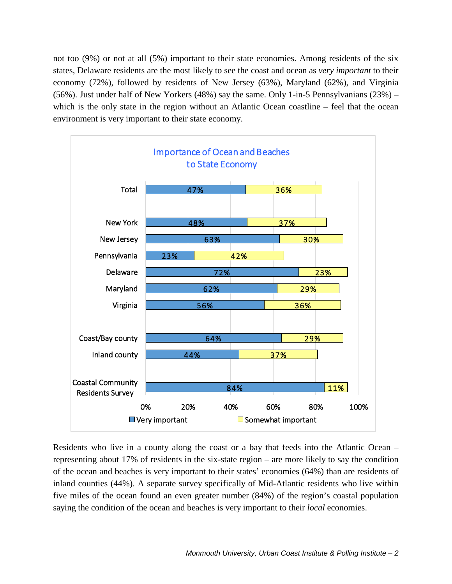not too (9%) or not at all (5%) important to their state economies. Among residents of the six states, Delaware residents are the most likely to see the coast and ocean as *very important* to their economy (72%), followed by residents of New Jersey (63%), Maryland (62%), and Virginia (56%). Just under half of New Yorkers (48%) say the same. Only 1-in-5 Pennsylvanians (23%) – which is the only state in the region without an Atlantic Ocean coastline – feel that the ocean environment is very important to their state economy.



Residents who live in a county along the coast or a bay that feeds into the Atlantic Ocean – representing about 17% of residents in the six-state region – are more likely to say the condition of the ocean and beaches is very important to their states' economies (64%) than are residents of inland counties (44%). A separate survey specifically of Mid-Atlantic residents who live within five miles of the ocean found an even greater number (84%) of the region's coastal population saying the condition of the ocean and beaches is very important to their *local* economies.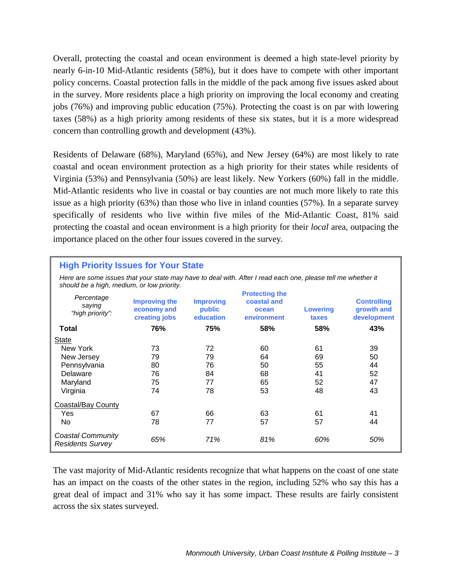Overall, protecting the coastal and ocean environment is deemed a high state-level priority by nearly 6-in-10 Mid-Atlantic residents (58%), but it does have to compete with other important policy concerns. Coastal protection falls in the middle of the pack among five issues asked about in the survey. More residents place a high priority on improving the local economy and creating jobs (76%) and improving public education (75%). Protecting the coast is on par with lowering taxes (58%) as a high priority among residents of these six states, but it is a more widespread concern than controlling growth and development (43%).

Residents of Delaware (68%), Maryland (65%), and New Jersey (64%) are most likely to rate coastal and ocean environment protection as a high priority for their states while residents of Virginia (53%) and Pennsylvania (50%) are least likely. New Yorkers (60%) fall in the middle. Mid-Atlantic residents who live in coastal or bay counties are not much more likely to rate this issue as a high priority (63%) than those who live in inland counties (57%). In a separate survey specifically of residents who live within five miles of the Mid-Atlantic Coast, 81% said protecting the coastal and ocean environment is a high priority for their *local* area, outpacing the importance placed on the other four issues covered in the survey.

#### **High Priority Issues for Your State**

*Here are some issues that your state may have to deal with. After I read each one, please tell me whether it should be a high, medium, or low priority.*

| Percentage<br>saying<br>"high priority":            | <b>Improving the</b><br>economy and<br>creating jobs | <b>Improving</b><br>public<br>education | <b>Protecting the</b><br>coastal and<br>ocean<br>environment | <b>Lowering</b><br>taxes | <b>Controlling</b><br>growth and<br>development |
|-----------------------------------------------------|------------------------------------------------------|-----------------------------------------|--------------------------------------------------------------|--------------------------|-------------------------------------------------|
| Total                                               | 76%                                                  | 75%                                     | 58%                                                          | 58%                      | 43%                                             |
| <b>State</b>                                        |                                                      |                                         |                                                              |                          |                                                 |
| New York                                            | 73                                                   | 72                                      | 60                                                           | 61                       | 39                                              |
| New Jersey                                          | 79                                                   | 79                                      | 64                                                           | 69                       | 50                                              |
| Pennsylvania                                        | 80                                                   | 76                                      | 50                                                           | 55                       | 44                                              |
| Delaware                                            | 76                                                   | 84                                      | 68                                                           | 41                       | 52                                              |
| Maryland                                            | 75                                                   | 77                                      | 65                                                           | 52                       | 47                                              |
| Virginia                                            | 74                                                   | 78                                      | 53                                                           | 48                       | 43                                              |
| <b>Coastal/Bay County</b>                           |                                                      |                                         |                                                              |                          |                                                 |
| Yes                                                 | 67                                                   | 66                                      | 63                                                           | 61                       | 41                                              |
| No.                                                 | 78                                                   | 77                                      | 57                                                           | 57                       | 44                                              |
| <b>Coastal Community</b><br><b>Residents Survey</b> | 65%                                                  | 71%                                     | 81%                                                          | 60%                      | 50%                                             |

The vast majority of Mid-Atlantic residents recognize that what happens on the coast of one state has an impact on the coasts of the other states in the region, including 52% who say this has a great deal of impact and 31% who say it has some impact. These results are fairly consistent across the six states surveyed.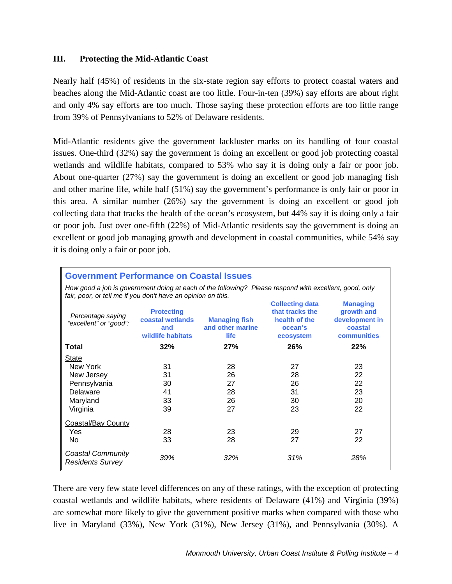#### **III. Protecting the Mid-Atlantic Coast**

Nearly half (45%) of residents in the six-state region say efforts to protect coastal waters and beaches along the Mid-Atlantic coast are too little. Four-in-ten (39%) say efforts are about right and only 4% say efforts are too much. Those saying these protection efforts are too little range from 39% of Pennsylvanians to 52% of Delaware residents.

Mid-Atlantic residents give the government lackluster marks on its handling of four coastal issues. One-third (32%) say the government is doing an excellent or good job protecting coastal wetlands and wildlife habitats, compared to 53% who say it is doing only a fair or poor job. About one-quarter (27%) say the government is doing an excellent or good job managing fish and other marine life, while half (51%) say the government's performance is only fair or poor in this area. A similar number (26%) say the government is doing an excellent or good job collecting data that tracks the health of the ocean's ecosystem, but 44% say it is doing only a fair or poor job. Just over one-fifth (22%) of Mid-Atlantic residents say the government is doing an excellent or good job managing growth and development in coastal communities, while 54% say it is doing only a fair or poor job.

| <b>Government Performance on Coastal Issues</b>                                                                                                                                                                                                                                                                                                |          |          |          |          |  |  |  |
|------------------------------------------------------------------------------------------------------------------------------------------------------------------------------------------------------------------------------------------------------------------------------------------------------------------------------------------------|----------|----------|----------|----------|--|--|--|
| How good a job is government doing at each of the following? Please respond with excellent, good, only<br>fair, poor, or tell me if you don't have an opinion on this.                                                                                                                                                                         |          |          |          |          |  |  |  |
| <b>Collecting data</b><br><b>Managing</b><br>that tracks the<br>growth and<br><b>Protecting</b><br>Percentage saying<br>development in<br>coastal wetlands<br>health of the<br><b>Managing fish</b><br>"excellent" or "good":<br>and other marine<br>ocean's<br>coastal<br>and<br>wildlife habitats<br><b>life</b><br>communities<br>ecosystem |          |          |          |          |  |  |  |
| Total                                                                                                                                                                                                                                                                                                                                          | 32%      | 27%      | 26%      | 22%      |  |  |  |
| <b>State</b><br>New York                                                                                                                                                                                                                                                                                                                       |          |          |          |          |  |  |  |
| New Jersey                                                                                                                                                                                                                                                                                                                                     | 31<br>31 | 28<br>26 | 27<br>28 | 23<br>22 |  |  |  |
| Pennsylvania                                                                                                                                                                                                                                                                                                                                   | 30       | 27       | 26       | 22       |  |  |  |
| Delaware                                                                                                                                                                                                                                                                                                                                       | 41       | 28       | 31       | 23       |  |  |  |
| Maryland                                                                                                                                                                                                                                                                                                                                       | 33       | 26       | 30       | 20       |  |  |  |
| Virginia                                                                                                                                                                                                                                                                                                                                       | 39       | 27       | 23       | 22       |  |  |  |
| <b>Coastal/Bay County</b>                                                                                                                                                                                                                                                                                                                      |          |          |          |          |  |  |  |
| <b>Yes</b>                                                                                                                                                                                                                                                                                                                                     | 28       | 23       | 29       | 27       |  |  |  |
| No.                                                                                                                                                                                                                                                                                                                                            | 33       | 28       | 27       | 22       |  |  |  |
| Coastal Community<br><b>Residents Survey</b>                                                                                                                                                                                                                                                                                                   | 39%      | 32%      | 31%      | 28%      |  |  |  |

There are very few state level differences on any of these ratings, with the exception of protecting coastal wetlands and wildlife habitats, where residents of Delaware (41%) and Virginia (39%) are somewhat more likely to give the government positive marks when compared with those who live in Maryland (33%), New York (31%), New Jersey (31%), and Pennsylvania (30%). A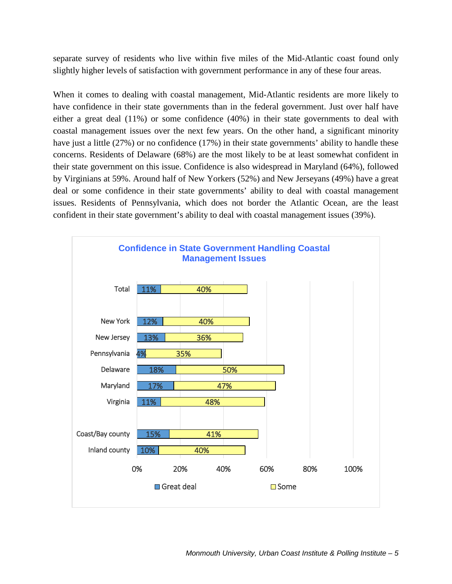separate survey of residents who live within five miles of the Mid-Atlantic coast found only slightly higher levels of satisfaction with government performance in any of these four areas.

When it comes to dealing with coastal management, Mid-Atlantic residents are more likely to have confidence in their state governments than in the federal government. Just over half have either a great deal (11%) or some confidence (40%) in their state governments to deal with coastal management issues over the next few years. On the other hand, a significant minority have just a little (27%) or no confidence (17%) in their state governments' ability to handle these concerns. Residents of Delaware (68%) are the most likely to be at least somewhat confident in their state government on this issue. Confidence is also widespread in Maryland (64%), followed by Virginians at 59%. Around half of New Yorkers (52%) and New Jerseyans (49%) have a great deal or some confidence in their state governments' ability to deal with coastal management issues. Residents of Pennsylvania, which does not border the Atlantic Ocean, are the least confident in their state government's ability to deal with coastal management issues (39%).

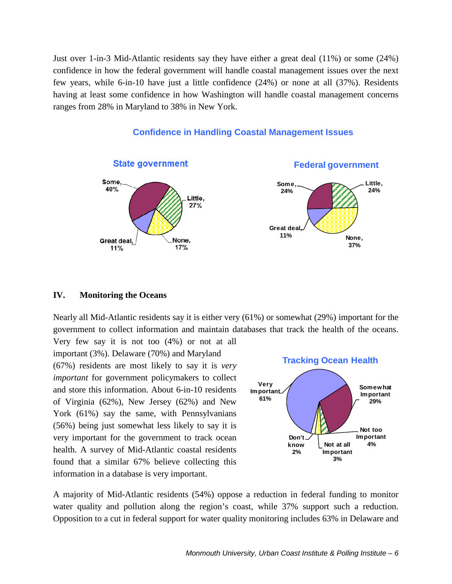Just over 1-in-3 Mid-Atlantic residents say they have either a great deal (11%) or some (24%) confidence in how the federal government will handle coastal management issues over the next few years, while 6-in-10 have just a little confidence (24%) or none at all (37%). Residents having at least some confidence in how Washington will handle coastal management concerns ranges from 28% in Maryland to 38% in New York.



### **Confidence in Handling Coastal Management Issues**

#### **IV. Monitoring the Oceans**

Nearly all Mid-Atlantic residents say it is either very (61%) or somewhat (29%) important for the government to collect information and maintain databases that track the health of the oceans.

Very few say it is not too (4%) or not at all important (3%). Delaware (70%) and Maryland (67%) residents are most likely to say it is *very important* for government policymakers to collect and store this information. About 6-in-10 residents of Virginia (62%), New Jersey (62%) and New York (61%) say the same, with Pennsylvanians (56%) being just somewhat less likely to say it is very important for the government to track ocean health. A survey of Mid-Atlantic coastal residents found that a similar 67% believe collecting this information in a database is very important.



A majority of Mid-Atlantic residents (54%) oppose a reduction in federal funding to monitor water quality and pollution along the region's coast, while 37% support such a reduction. Opposition to a cut in federal support for water quality monitoring includes 63% in Delaware and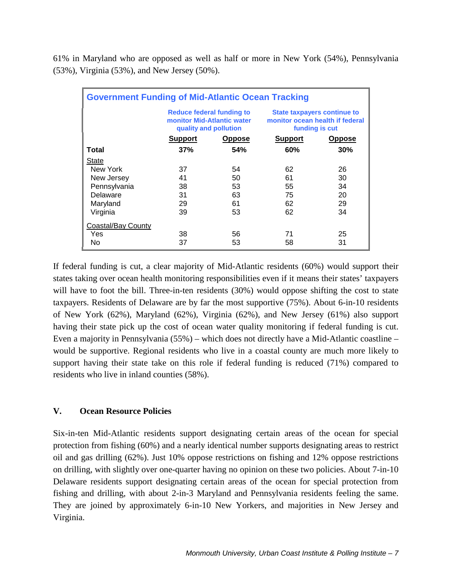61% in Maryland who are opposed as well as half or more in New York (54%), Pennsylvania (53%), Virginia (53%), and New Jersey (50%).

| <b>Government Funding of Mid-Atlantic Ocean Tracking</b> |                                                                                  |               |                                                                                         |               |  |
|----------------------------------------------------------|----------------------------------------------------------------------------------|---------------|-----------------------------------------------------------------------------------------|---------------|--|
|                                                          | Reduce federal funding to<br>monitor Mid-Atlantic water<br>quality and pollution |               | <b>State taxpayers continue to</b><br>monitor ocean health if federal<br>funding is cut |               |  |
|                                                          | <b>Support</b>                                                                   | <b>Oppose</b> | <b>Support</b>                                                                          | <b>Oppose</b> |  |
| Total                                                    | 37%                                                                              | <b>54%</b>    | 60%                                                                                     | 30%           |  |
| <b>State</b>                                             |                                                                                  |               |                                                                                         |               |  |
| New York                                                 | 37                                                                               | 54            | 62                                                                                      | 26            |  |
| New Jersey                                               | 41                                                                               | 50            | 61                                                                                      | 30            |  |
| Pennsylvania                                             | 38                                                                               | 53            | 55                                                                                      | 34            |  |
| Delaware                                                 | 31                                                                               | 63            | 75                                                                                      | 20            |  |
| Maryland                                                 | 29                                                                               | 61            | 62                                                                                      | 29            |  |
| Virginia                                                 | 39                                                                               | 53            | 62                                                                                      | 34            |  |
| Coastal/Bay County                                       |                                                                                  |               |                                                                                         |               |  |
| Yes                                                      | 38                                                                               | 56            | 71                                                                                      | 25            |  |
| No                                                       | 37                                                                               | 53            | 58                                                                                      | 31            |  |

If federal funding is cut, a clear majority of Mid-Atlantic residents (60%) would support their states taking over ocean health monitoring responsibilities even if it means their states' taxpayers will have to foot the bill. Three-in-ten residents (30%) would oppose shifting the cost to state taxpayers. Residents of Delaware are by far the most supportive (75%). About 6-in-10 residents of New York (62%), Maryland (62%), Virginia (62%), and New Jersey (61%) also support having their state pick up the cost of ocean water quality monitoring if federal funding is cut. Even a majority in Pennsylvania (55%) – which does not directly have a Mid-Atlantic coastline – would be supportive. Regional residents who live in a coastal county are much more likely to support having their state take on this role if federal funding is reduced (71%) compared to residents who live in inland counties (58%).

#### **V. Ocean Resource Policies**

Six-in-ten Mid-Atlantic residents support designating certain areas of the ocean for special protection from fishing (60%) and a nearly identical number supports designating areas to restrict oil and gas drilling (62%). Just 10% oppose restrictions on fishing and 12% oppose restrictions on drilling, with slightly over one-quarter having no opinion on these two policies. About 7-in-10 Delaware residents support designating certain areas of the ocean for special protection from fishing and drilling, with about 2-in-3 Maryland and Pennsylvania residents feeling the same. They are joined by approximately 6-in-10 New Yorkers, and majorities in New Jersey and Virginia.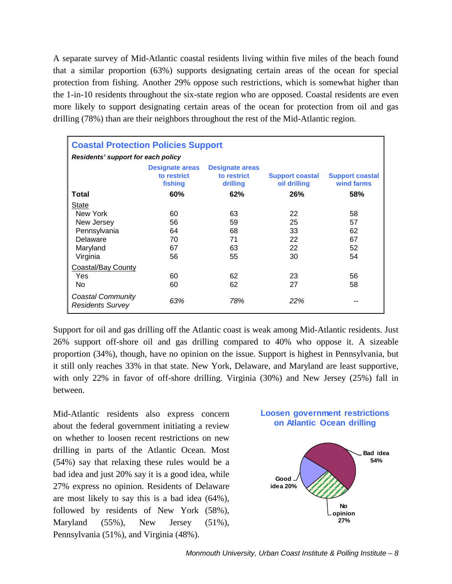A separate survey of Mid-Atlantic coastal residents living within five miles of the beach found that a similar proportion (63%) supports designating certain areas of the ocean for special protection from fishing. Another 29% oppose such restrictions, which is somewhat higher than the 1-in-10 residents throughout the six-state region who are opposed. Coastal residents are even more likely to support designating certain areas of the ocean for protection from oil and gas drilling (78%) than are their neighbors throughout the rest of the Mid-Atlantic region.

| <b>Coastal Protection Policies Support</b>   |                                                  |                                                   |                                        |                                      |  |  |
|----------------------------------------------|--------------------------------------------------|---------------------------------------------------|----------------------------------------|--------------------------------------|--|--|
| Residents' support for each policy           |                                                  |                                                   |                                        |                                      |  |  |
|                                              | <b>Designate areas</b><br>to restrict<br>fishing | <b>Designate areas</b><br>to restrict<br>drilling | <b>Support coastal</b><br>oil drilling | <b>Support coastal</b><br>wind farms |  |  |
| Total                                        | 60%                                              | 62%                                               | 26%                                    | 58%                                  |  |  |
| <b>State</b>                                 |                                                  |                                                   |                                        |                                      |  |  |
| New York                                     | 60                                               | 63                                                | 22                                     | 58                                   |  |  |
| New Jersey                                   | 56                                               | 59                                                | 25                                     | 57                                   |  |  |
| Pennsylvania                                 | 64                                               | 68                                                | 33                                     | 62                                   |  |  |
| Delaware                                     | 70                                               | 71                                                | 22                                     | 67                                   |  |  |
| Maryland                                     | 67                                               | 63                                                | 22                                     | 52                                   |  |  |
| Virginia                                     | 56                                               | 55                                                | 30                                     | 54                                   |  |  |
| <b>Coastal/Bay County</b>                    |                                                  |                                                   |                                        |                                      |  |  |
| Yes                                          | 60                                               | 62                                                | 23                                     | 56                                   |  |  |
| No                                           | 60                                               | 62                                                | 27                                     | 58                                   |  |  |
| Coastal Community<br><b>Residents Survey</b> | 63%                                              | 78%                                               | 22%                                    |                                      |  |  |

Support for oil and gas drilling off the Atlantic coast is weak among Mid-Atlantic residents. Just 26% support off-shore oil and gas drilling compared to 40% who oppose it. A sizeable proportion (34%), though, have no opinion on the issue. Support is highest in Pennsylvania, but it still only reaches 33% in that state. New York, Delaware, and Maryland are least supportive, with only 22% in favor of off-shore drilling. Virginia (30%) and New Jersey (25%) fall in between.

Mid-Atlantic residents also express concern about the federal government initiating a review on whether to loosen recent restrictions on new drilling in parts of the Atlantic Ocean. Most (54%) say that relaxing these rules would be a bad idea and just 20% say it is a good idea, while 27% express no opinion. Residents of Delaware are most likely to say this is a bad idea (64%), followed by residents of New York (58%), Maryland (55%), New Jersey (51%), Pennsylvania (51%), and Virginia (48%).

# **Loosen government restrictions on Atlantic Ocean drilling**

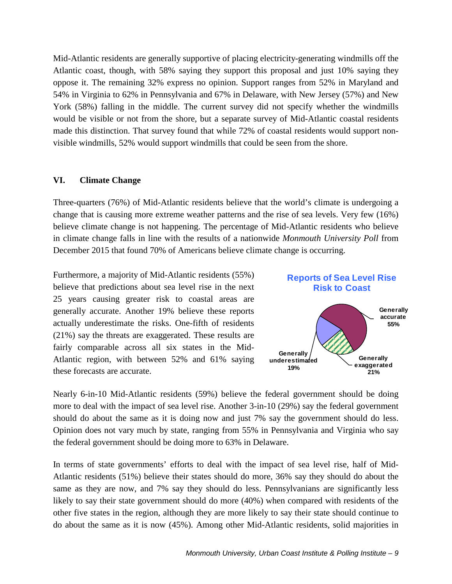Mid-Atlantic residents are generally supportive of placing electricity-generating windmills off the Atlantic coast, though, with 58% saying they support this proposal and just 10% saying they oppose it. The remaining 32% express no opinion. Support ranges from 52% in Maryland and 54% in Virginia to 62% in Pennsylvania and 67% in Delaware, with New Jersey (57%) and New York (58%) falling in the middle. The current survey did not specify whether the windmills would be visible or not from the shore, but a separate survey of Mid-Atlantic coastal residents made this distinction. That survey found that while 72% of coastal residents would support nonvisible windmills, 52% would support windmills that could be seen from the shore.

#### **VI. Climate Change**

Three-quarters (76%) of Mid-Atlantic residents believe that the world's climate is undergoing a change that is causing more extreme weather patterns and the rise of sea levels. Very few (16%) believe climate change is not happening. The percentage of Mid-Atlantic residents who believe in climate change falls in line with the results of a nationwide *Monmouth University Poll* from December 2015 that found 70% of Americans believe climate change is occurring.

Furthermore, a majority of Mid-Atlantic residents (55%) believe that predictions about sea level rise in the next 25 years causing greater risk to coastal areas are generally accurate. Another 19% believe these reports actually underestimate the risks. One-fifth of residents (21%) say the threats are exaggerated. These results are fairly comparable across all six states in the Mid-Atlantic region, with between 52% and 61% saying these forecasts are accurate.



Nearly 6-in-10 Mid-Atlantic residents (59%) believe the federal government should be doing more to deal with the impact of sea level rise. Another 3-in-10 (29%) say the federal government should do about the same as it is doing now and just 7% say the government should do less. Opinion does not vary much by state, ranging from 55% in Pennsylvania and Virginia who say the federal government should be doing more to 63% in Delaware.

In terms of state governments' efforts to deal with the impact of sea level rise, half of Mid-Atlantic residents (51%) believe their states should do more, 36% say they should do about the same as they are now, and 7% say they should do less. Pennsylvanians are significantly less likely to say their state government should do more (40%) when compared with residents of the other five states in the region, although they are more likely to say their state should continue to do about the same as it is now (45%). Among other Mid-Atlantic residents, solid majorities in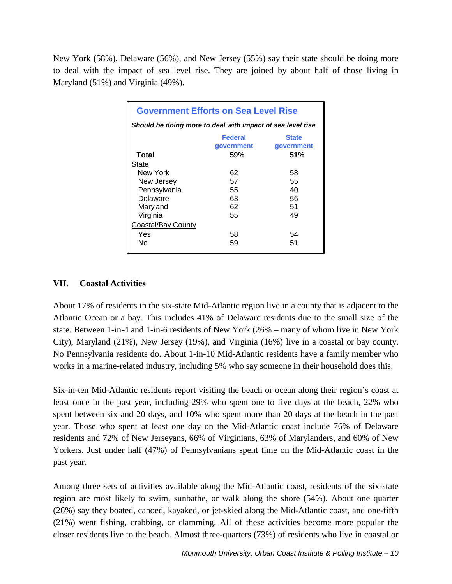New York (58%), Delaware (56%), and New Jersey (55%) say their state should be doing more to deal with the impact of sea level rise. They are joined by about half of those living in Maryland (51%) and Virginia (49%).

| <b>Government Efforts on Sea Level Rise</b>                |     |     |  |  |  |
|------------------------------------------------------------|-----|-----|--|--|--|
| Should be doing more to deal with impact of sea level rise |     |     |  |  |  |
| <b>Federal</b><br><b>State</b><br>government<br>government |     |     |  |  |  |
| Total                                                      | 59% | 51% |  |  |  |
| State                                                      |     |     |  |  |  |
| New York                                                   | 62  | 58  |  |  |  |
| New Jersey                                                 | 57  | 55  |  |  |  |
| Pennsylvania                                               | 55  | 40  |  |  |  |
| Delaware                                                   | 63  | 56  |  |  |  |
| Maryland                                                   | 62  | 51  |  |  |  |
| Virginia                                                   | 55  | 49  |  |  |  |
| Coastal/Bay County                                         |     |     |  |  |  |
| Yes                                                        | 58  | 54  |  |  |  |
| Nο                                                         | 59  | 51  |  |  |  |

### **VII. Coastal Activities**

About 17% of residents in the six-state Mid-Atlantic region live in a county that is adjacent to the Atlantic Ocean or a bay. This includes 41% of Delaware residents due to the small size of the state. Between 1-in-4 and 1-in-6 residents of New York (26% – many of whom live in New York City), Maryland (21%), New Jersey (19%), and Virginia (16%) live in a coastal or bay county. No Pennsylvania residents do. About 1-in-10 Mid-Atlantic residents have a family member who works in a marine-related industry, including 5% who say someone in their household does this.

Six-in-ten Mid-Atlantic residents report visiting the beach or ocean along their region's coast at least once in the past year, including 29% who spent one to five days at the beach, 22% who spent between six and 20 days, and 10% who spent more than 20 days at the beach in the past year. Those who spent at least one day on the Mid-Atlantic coast include 76% of Delaware residents and 72% of New Jerseyans, 66% of Virginians, 63% of Marylanders, and 60% of New Yorkers. Just under half (47%) of Pennsylvanians spent time on the Mid-Atlantic coast in the past year.

Among three sets of activities available along the Mid-Atlantic coast, residents of the six-state region are most likely to swim, sunbathe, or walk along the shore (54%). About one quarter (26%) say they boated, canoed, kayaked, or jet-skied along the Mid-Atlantic coast, and one-fifth (21%) went fishing, crabbing, or clamming. All of these activities become more popular the closer residents live to the beach. Almost three-quarters (73%) of residents who live in coastal or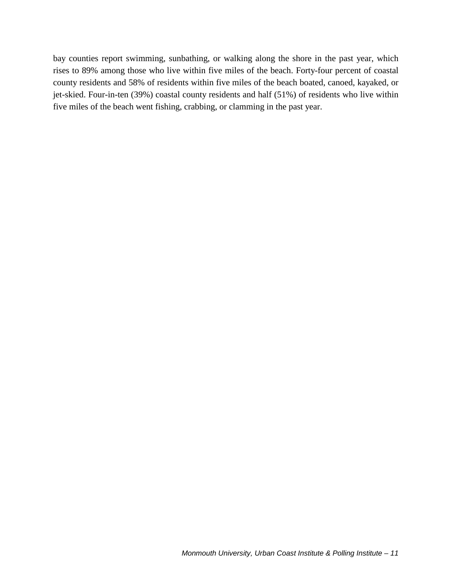bay counties report swimming, sunbathing, or walking along the shore in the past year, which rises to 89% among those who live within five miles of the beach. Forty-four percent of coastal county residents and 58% of residents within five miles of the beach boated, canoed, kayaked, or jet-skied. Four-in-ten (39%) coastal county residents and half (51%) of residents who live within five miles of the beach went fishing, crabbing, or clamming in the past year.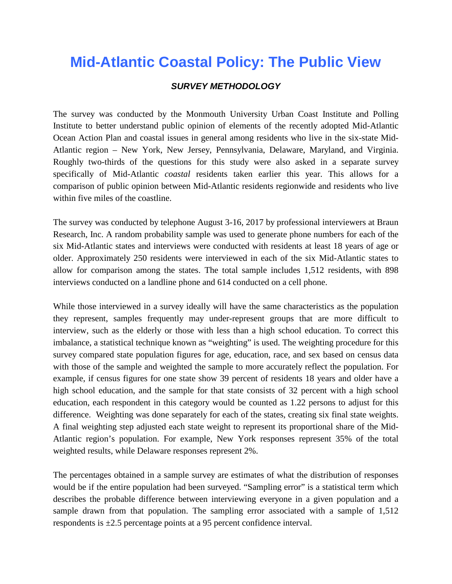# *SURVEY METHODOLOGY*

The survey was conducted by the Monmouth University Urban Coast Institute and Polling Institute to better understand public opinion of elements of the recently adopted Mid-Atlantic Ocean Action Plan and coastal issues in general among residents who live in the six-state Mid-Atlantic region – New York, New Jersey, Pennsylvania, Delaware, Maryland, and Virginia. Roughly two-thirds of the questions for this study were also asked in a separate survey specifically of Mid-Atlantic *coastal* residents taken earlier this year. This allows for a comparison of public opinion between Mid-Atlantic residents regionwide and residents who live within five miles of the coastline.

The survey was conducted by telephone August 3-16, 2017 by professional interviewers at Braun Research, Inc. A random probability sample was used to generate phone numbers for each of the six Mid-Atlantic states and interviews were conducted with residents at least 18 years of age or older. Approximately 250 residents were interviewed in each of the six Mid-Atlantic states to allow for comparison among the states. The total sample includes 1,512 residents, with 898 interviews conducted on a landline phone and 614 conducted on a cell phone.

While those interviewed in a survey ideally will have the same characteristics as the population they represent, samples frequently may under-represent groups that are more difficult to interview, such as the elderly or those with less than a high school education. To correct this imbalance, a statistical technique known as "weighting" is used. The weighting procedure for this survey compared state population figures for age, education, race, and sex based on census data with those of the sample and weighted the sample to more accurately reflect the population. For example, if census figures for one state show 39 percent of residents 18 years and older have a high school education, and the sample for that state consists of 32 percent with a high school education, each respondent in this category would be counted as 1.22 persons to adjust for this difference. Weighting was done separately for each of the states, creating six final state weights. A final weighting step adjusted each state weight to represent its proportional share of the Mid-Atlantic region's population. For example, New York responses represent 35% of the total weighted results, while Delaware responses represent 2%.

The percentages obtained in a sample survey are estimates of what the distribution of responses would be if the entire population had been surveyed. "Sampling error" is a statistical term which describes the probable difference between interviewing everyone in a given population and a sample drawn from that population. The sampling error associated with a sample of 1,512 respondents is ±2.5 percentage points at a 95 percent confidence interval.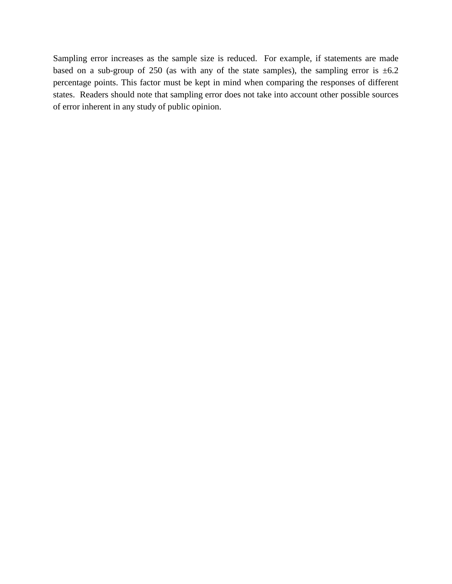Sampling error increases as the sample size is reduced. For example, if statements are made based on a sub-group of 250 (as with any of the state samples), the sampling error is  $\pm 6.2$ percentage points. This factor must be kept in mind when comparing the responses of different states. Readers should note that sampling error does not take into account other possible sources of error inherent in any study of public opinion.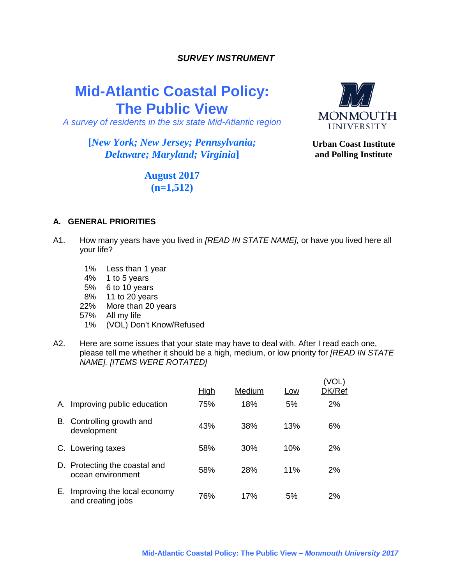### *SURVEY INSTRUMENT*

# **Mid-Atlantic Coastal Policy: The Public View**

*A survey of residents in the six state Mid-Atlantic region*

# **[***New York; New Jersey; Pennsylvania; Delaware; Maryland; Virginia***]**



**Urban Coast Institute and Polling Institute**

# **August 2017 (n=1,512)**

#### **A. GENERAL PRIORITIES**

- A1. How many years have you lived in *[READ IN STATE NAME],* or have you lived here all your life?
	- 1% Less than 1 year
	- 4% 1 to 5 years
	- 5% 6 to 10 years
	- 8% 11 to 20 years
	- 22% More than 20 years
	- 57% All my life
	- (VOL) Don't Know/Refused
- A2. Here are some issues that your state may have to deal with. After I read each one, please tell me whether it should be a high, medium, or low priority for *[READ IN STATE NAME]. [ITEMS WERE ROTATED]*

|    |                                                    | <u>High</u> | Medium | Low | (VOL)<br>DK/Ref |
|----|----------------------------------------------------|-------------|--------|-----|-----------------|
| А. | Improving public education                         | 75%         | 18%    | 5%  | 2%              |
| В. | Controlling growth and<br>development              | 43%         | 38%    | 13% | 6%              |
|    | C. Lowering taxes                                  | 58%         | 30%    | 10% | 2%              |
|    | D. Protecting the coastal and<br>ocean environment | 58%         | 28%    | 11% | 2%              |
| Е. | Improving the local economy<br>and creating jobs   | 76%         | 17%    | 5%  | 2%              |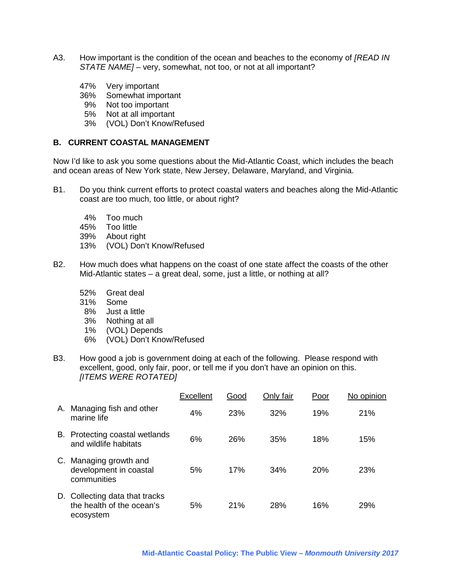- A3. How important is the condition of the ocean and beaches to the economy of *[READ IN STATE NAME]* – very, somewhat, not too, or not at all important?
	- 47% Very important
	- Somewhat important
	- 9% Not too important
	- 5% Not at all important
	- 3% (VOL) Don't Know/Refused

#### **B. CURRENT COASTAL MANAGEMENT**

Now I'd like to ask you some questions about the Mid-Atlantic Coast, which includes the beach and ocean areas of New York state, New Jersey, Delaware, Maryland, and Virginia.

- B1. Do you think current efforts to protect coastal waters and beaches along the Mid-Atlantic coast are too much, too little, or about right?
	- 4% Too much
	- 45% Too little
	- 39% About right
	- 13% (VOL) Don't Know/Refused
- B2. How much does what happens on the coast of one state affect the coasts of the other Mid-Atlantic states – a great deal, some, just a little, or nothing at all?
	- 52% Great deal
	- 31% Some
	- 8% Just a little
	- 3% Nothing at all
	- 1% (VOL) Depends
	- 6% (VOL) Don't Know/Refused
- B3. How good a job is government doing at each of the following. Please respond with excellent, good, only fair, poor, or tell me if you don't have an opinion on this. *[ITEMS WERE ROTATED]*

|    |                                                                          | Excellent | Good | Only fair | Poor | No opinion |
|----|--------------------------------------------------------------------------|-----------|------|-----------|------|------------|
| Α. | Managing fish and other<br>marine life                                   | 4%        | 23%  | 32%       | 19%  | 21%        |
| В. | Protecting coastal wetlands<br>and wildlife habitats                     | 6%        | 26%  | 35%       | 18%  | 15%        |
| C. | Managing growth and<br>development in coastal<br>communities             | 5%        | 17%  | 34%       | 20%  | 23%        |
|    | D. Collecting data that tracks<br>the health of the ocean's<br>ecosystem | 5%        | 21%  | 28%       | 16%  | 29%        |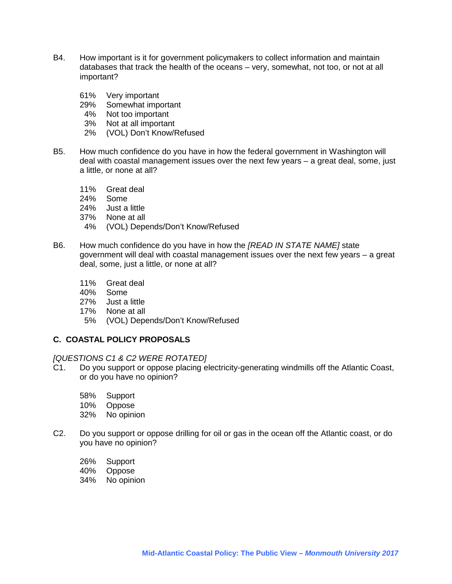- B4. How important is it for government policymakers to collect information and maintain databases that track the health of the oceans – very, somewhat, not too, or not at all important?
	- 61% Very important
	- 29% Somewhat important<br>4% Not too important
	- 4% Not too important<br>3% Not at all importan
	- Not at all important
	- 2% (VOL) Don't Know/Refused
- B5. How much confidence do you have in how the federal government in Washington will deal with coastal management issues over the next few years – a great deal, some, just a little, or none at all?
	- 11% Great deal
	- 24% Some
	- 24% Just a little
	- 37% None at all
	- 4% (VOL) Depends/Don't Know/Refused
- B6. How much confidence do you have in how the *[READ IN STATE NAME]* state government will deal with coastal management issues over the next few years – a great deal, some, just a little, or none at all?
	- 11% Great deal
	- 40% Some
	- 27% Just a little
	- 17% None at all
	- 5% (VOL) Depends/Don't Know/Refused

#### **C. COASTAL POLICY PROPOSALS**

#### *[QUESTIONS C1 & C2 WERE ROTATED]*

- C1. Do you support or oppose placing electricity-generating windmills off the Atlantic Coast, or do you have no opinion?
	- 58% Support
	- 10% Oppose
	- 32% No opinion
- C2. Do you support or oppose drilling for oil or gas in the ocean off the Atlantic coast, or do you have no opinion?
	- 26% Support
	- 40% Oppose
	- 34% No opinion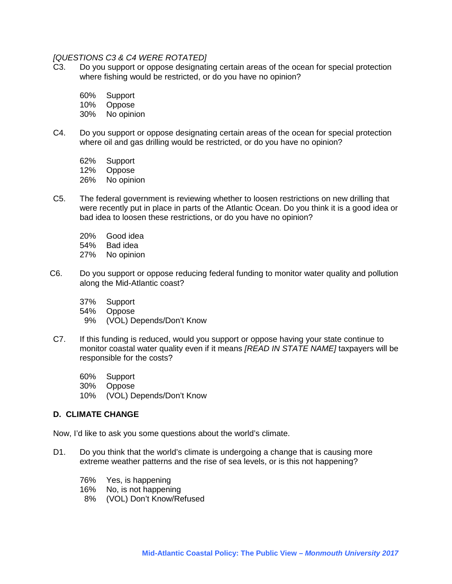#### *[QUESTIONS C3 & C4 WERE ROTATED]*

C3. Do you support or oppose designating certain areas of the ocean for special protection where fishing would be restricted, or do you have no opinion?

60% Support

10% Oppose

30% No opinion

C4. Do you support or oppose designating certain areas of the ocean for special protection where oil and gas drilling would be restricted, or do you have no opinion?

62% Support<br>12% Oppose Oppose

26% No opinion

- C5. The federal government is reviewing whether to loosen restrictions on new drilling that were recently put in place in parts of the Atlantic Ocean. Do you think it is a good idea or bad idea to loosen these restrictions, or do you have no opinion?
	- 20% Good idea
	- Bad idea
	- 27% No opinion
- C6. Do you support or oppose reducing federal funding to monitor water quality and pollution along the Mid-Atlantic coast?
	- 37% Support
	- 54% Oppose
	- 9% (VOL) Depends/Don't Know
- C7. If this funding is reduced, would you support or oppose having your state continue to monitor coastal water quality even if it means *[READ IN STATE NAME]* taxpayers will be responsible for the costs?
	- 60% Support
	- 30% Oppose
	- 10% (VOL) Depends/Don't Know

#### **D. CLIMATE CHANGE**

Now, I'd like to ask you some questions about the world's climate.

- D1. Do you think that the world's climate is undergoing a change that is causing more extreme weather patterns and the rise of sea levels, or is this not happening?
	- 76% Yes, is happening
	- 16% No, is not happening
	- 8% (VOL) Don't Know/Refused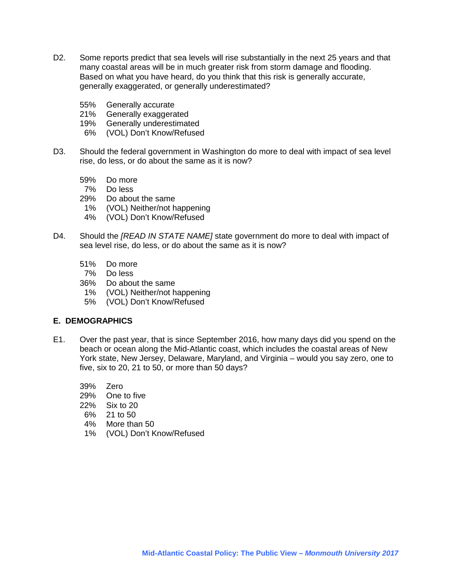- D2. Some reports predict that sea levels will rise substantially in the next 25 years and that many coastal areas will be in much greater risk from storm damage and flooding. Based on what you have heard, do you think that this risk is generally accurate, generally exaggerated, or generally underestimated?
	- 55% Generally accurate
	- 21% Generally exaggerated<br>19% Generally underestimate
	- Generally underestimated
	- 6% (VOL) Don't Know/Refused
- D3. Should the federal government in Washington do more to deal with impact of sea level rise, do less, or do about the same as it is now?
	- 59% Do more
	- 7% Do less
	- 29% Do about the same
	- 1% (VOL) Neither/not happening
	- 4% (VOL) Don't Know/Refused
- D4. Should the *[READ IN STATE NAME]* state government do more to deal with impact of sea level rise, do less, or do about the same as it is now?
	- 51% Do more
	- 7% Do less
	- 36% Do about the same
	- 1% (VOL) Neither/not happening
	- 5% (VOL) Don't Know/Refused

#### **E. DEMOGRAPHICS**

- E1. Over the past year, that is since September 2016, how many days did you spend on the beach or ocean along the Mid-Atlantic coast, which includes the coastal areas of New York state, New Jersey, Delaware, Maryland, and Virginia – would you say zero, one to five, six to 20, 21 to 50, or more than 50 days?
	- 39% Zero
	- 29% One to five
	- 22% Six to 20
	- 6% 21 to 50
	- 4% More than 50
	- 1% (VOL) Don't Know/Refused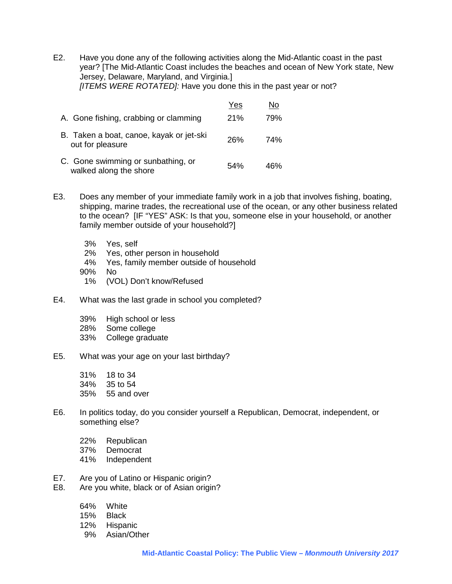E2. Have you done any of the following activities along the Mid-Atlantic coast in the past year? [The Mid-Atlantic Coast includes the beaches and ocean of New York state, New Jersey, Delaware, Maryland, and Virginia.] *[ITEMS WERE ROTATED]:* Have you done this in the past year or not?

|                                                              | Yes | No  |
|--------------------------------------------------------------|-----|-----|
| A. Gone fishing, crabbing or clamming                        | 21% | 79% |
| B. Taken a boat, canoe, kayak or jet-ski<br>out for pleasure | 26% | 74% |
| C. Gone swimming or sunbathing, or<br>walked along the shore | 54% | 46% |

- E3. Does any member of your immediate family work in a job that involves fishing, boating, shipping, marine trades, the recreational use of the ocean, or any other business related to the ocean? [IF "YES" ASK: Is that you, someone else in your household, or another family member outside of your household?]
	- 3% Yes, self
	- 2% Yes, other person in household
	- 4% Yes, family member outside of household
	- 90% No
	- 1% (VOL) Don't know/Refused
- E4. What was the last grade in school you completed?
	- 39% High school or less
	- 28% Some college<br>33% College gradu
	- College graduate
- E5. What was your age on your last birthday?
	- 31% 18 to 34 34% 35 to 54 35% 55 and over
- E6. In politics today, do you consider yourself a Republican, Democrat, independent, or something else?
	- 22% Republican
	- 37% Democrat
	- 41% Independent
- E7. Are you of Latino or Hispanic origin?
- E8. Are you white, black or of Asian origin?
	- 64% White
	- 15% Black
	- 12% Hispanic
	- 9% Asian/Other